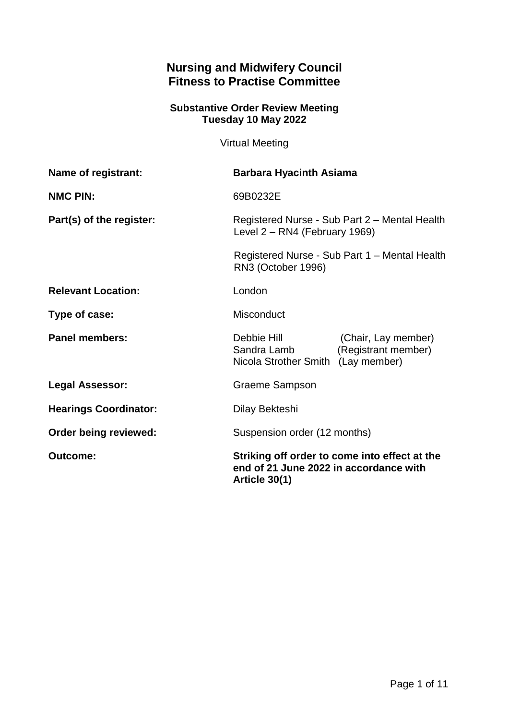# **Nursing and Midwifery Council Fitness to Practise Committee**

#### **Substantive Order Review Meeting Tuesday 10 May 2022**

Virtual Meeting

| Name of registrant:          | <b>Barbara Hyacinth Asiama</b>                                                                                                                        |                                            |
|------------------------------|-------------------------------------------------------------------------------------------------------------------------------------------------------|--------------------------------------------|
| <b>NMC PIN:</b>              | 69B0232E                                                                                                                                              |                                            |
| Part(s) of the register:     | Registered Nurse - Sub Part 2 - Mental Health<br>Level 2 – RN4 (February 1969)<br>Registered Nurse - Sub Part 1 - Mental Health<br>RN3 (October 1996) |                                            |
|                              |                                                                                                                                                       |                                            |
| <b>Relevant Location:</b>    | London                                                                                                                                                |                                            |
| Type of case:                | Misconduct                                                                                                                                            |                                            |
| <b>Panel members:</b>        | Debbie Hill<br>Sandra Lamb<br>Nicola Strother Smith (Lay member)                                                                                      | (Chair, Lay member)<br>(Registrant member) |
| <b>Legal Assessor:</b>       | <b>Graeme Sampson</b>                                                                                                                                 |                                            |
| <b>Hearings Coordinator:</b> | Dilay Bekteshi                                                                                                                                        |                                            |
| Order being reviewed:        | Suspension order (12 months)                                                                                                                          |                                            |
| <b>Outcome:</b>              | Striking off order to come into effect at the<br>end of 21 June 2022 in accordance with<br>Article 30(1)                                              |                                            |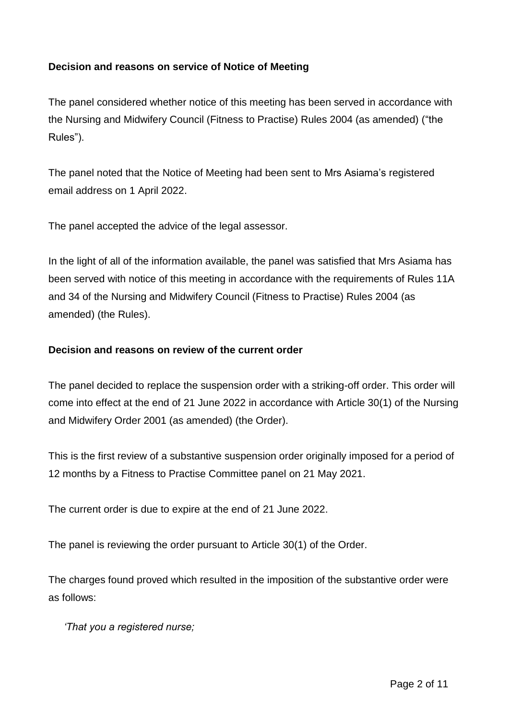## **Decision and reasons on service of Notice of Meeting**

The panel considered whether notice of this meeting has been served in accordance with the Nursing and Midwifery Council (Fitness to Practise) Rules 2004 (as amended) ("the Rules").

The panel noted that the Notice of Meeting had been sent to Mrs Asiama's registered email address on 1 April 2022.

The panel accepted the advice of the legal assessor.

In the light of all of the information available, the panel was satisfied that Mrs Asiama has been served with notice of this meeting in accordance with the requirements of Rules 11A and 34 of the Nursing and Midwifery Council (Fitness to Practise) Rules 2004 (as amended) (the Rules).

## **Decision and reasons on review of the current order**

The panel decided to replace the suspension order with a striking-off order. This order will come into effect at the end of 21 June 2022 in accordance with Article 30(1) of the Nursing and Midwifery Order 2001 (as amended) (the Order).

This is the first review of a substantive suspension order originally imposed for a period of 12 months by a Fitness to Practise Committee panel on 21 May 2021.

The current order is due to expire at the end of 21 June 2022.

The panel is reviewing the order pursuant to Article 30(1) of the Order.

The charges found proved which resulted in the imposition of the substantive order were as follows:

*'That you a registered nurse;*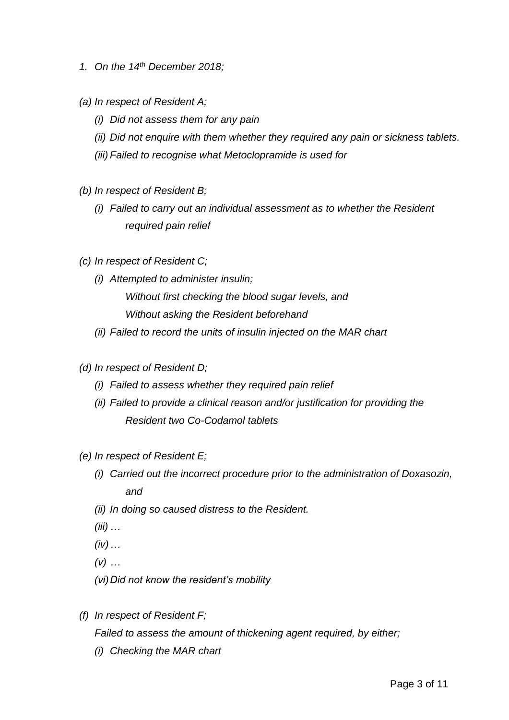- *1. On the 14th December 2018;*
- *(a) In respect of Resident A;*
	- *(i) Did not assess them for any pain*
	- *(ii) Did not enquire with them whether they required any pain or sickness tablets.*
	- *(iii) Failed to recognise what Metoclopramide is used for*
- *(b) In respect of Resident B;*
	- *(i) Failed to carry out an individual assessment as to whether the Resident required pain relief*
- *(c) In respect of Resident C;*
	- *(i) Attempted to administer insulin; Without first checking the blood sugar levels, and Without asking the Resident beforehand*
	- *(ii) Failed to record the units of insulin injected on the MAR chart*
- *(d) In respect of Resident D;*
	- *(i) Failed to assess whether they required pain relief*
	- *(ii) Failed to provide a clinical reason and/or justification for providing the Resident two Co-Codamol tablets*
- *(e) In respect of Resident E;*
	- *(i) Carried out the incorrect procedure prior to the administration of Doxasozin, and*
	- *(ii) In doing so caused distress to the Resident.*
	- *(iii) …*
	- *(iv)…*
	- *(v) …*
	- *(vi)Did not know the resident's mobility*
- *(f) In respect of Resident F;*

*Failed to assess the amount of thickening agent required, by either;*

*(i) Checking the MAR chart*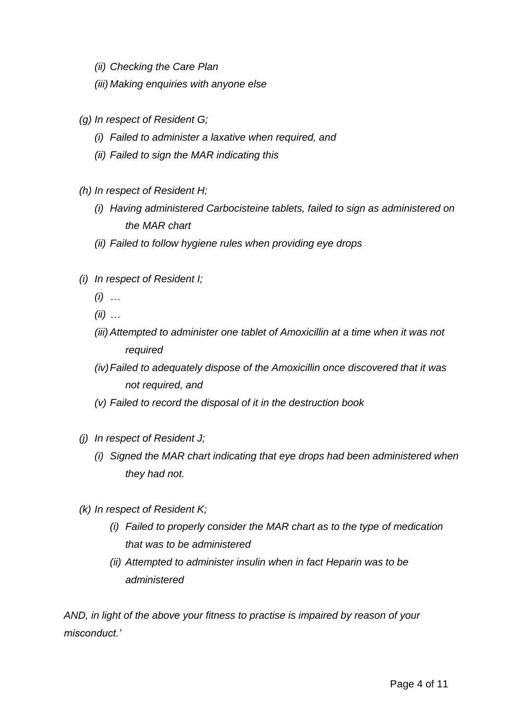*(ii) Checking the Care Plan*

*(iii) Making enquiries with anyone else*

- *(g) In respect of Resident G;*
	- *(i) Failed to administer a laxative when required, and*
	- *(ii) Failed to sign the MAR indicating this*
- *(h) In respect of Resident H;*
	- *(i) Having administered Carbocisteine tablets, failed to sign as administered on the MAR chart*
	- *(ii) Failed to follow hygiene rules when providing eye drops*
- *(i) In respect of Resident I;*
	- *(i) …*
	- *(ii) …*
	- *(iii) Attempted to administer one tablet of Amoxicillin at a time when it was not required*
	- *(iv)Failed to adequately dispose of the Amoxicillin once discovered that it was not required, and*
	- *(v) Failed to record the disposal of it in the destruction book*
- *(j) In respect of Resident J;*
	- *(i) Signed the MAR chart indicating that eye drops had been administered when they had not.*
- *(k) In respect of Resident K;*
	- *(i) Failed to properly consider the MAR chart as to the type of medication that was to be administered*
	- *(ii) Attempted to administer insulin when in fact Heparin was to be administered*

*AND, in light of the above your fitness to practise is impaired by reason of your misconduct.'*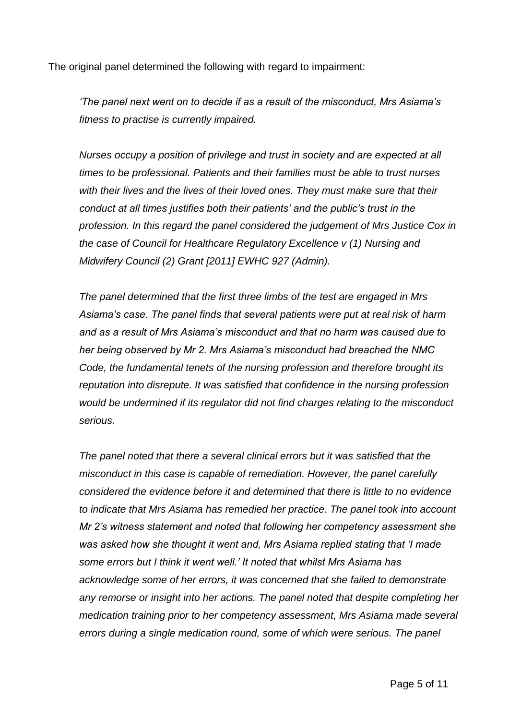The original panel determined the following with regard to impairment:

*'The panel next went on to decide if as a result of the misconduct, Mrs Asiama's fitness to practise is currently impaired.*

*Nurses occupy a position of privilege and trust in society and are expected at all times to be professional. Patients and their families must be able to trust nurses with their lives and the lives of their loved ones. They must make sure that their conduct at all times justifies both their patients' and the public's trust in the profession. In this regard the panel considered the judgement of Mrs Justice Cox in the case of Council for Healthcare Regulatory Excellence v (1) Nursing and Midwifery Council (2) Grant [2011] EWHC 927 (Admin).*

*The panel determined that the first three limbs of the test are engaged in Mrs Asiama's case. The panel finds that several patients were put at real risk of harm and as a result of Mrs Asiama's misconduct and that no harm was caused due to her being observed by Mr 2. Mrs Asiama's misconduct had breached the NMC Code, the fundamental tenets of the nursing profession and therefore brought its reputation into disrepute. It was satisfied that confidence in the nursing profession would be undermined if its regulator did not find charges relating to the misconduct serious.* 

*The panel noted that there a several clinical errors but it was satisfied that the misconduct in this case is capable of remediation. However, the panel carefully considered the evidence before it and determined that there is little to no evidence to indicate that Mrs Asiama has remedied her practice. The panel took into account Mr 2's witness statement and noted that following her competency assessment she was asked how she thought it went and, Mrs Asiama replied stating that 'I made some errors but I think it went well.' It noted that whilst Mrs Asiama has acknowledge some of her errors, it was concerned that she failed to demonstrate any remorse or insight into her actions. The panel noted that despite completing her medication training prior to her competency assessment, Mrs Asiama made several errors during a single medication round, some of which were serious. The panel*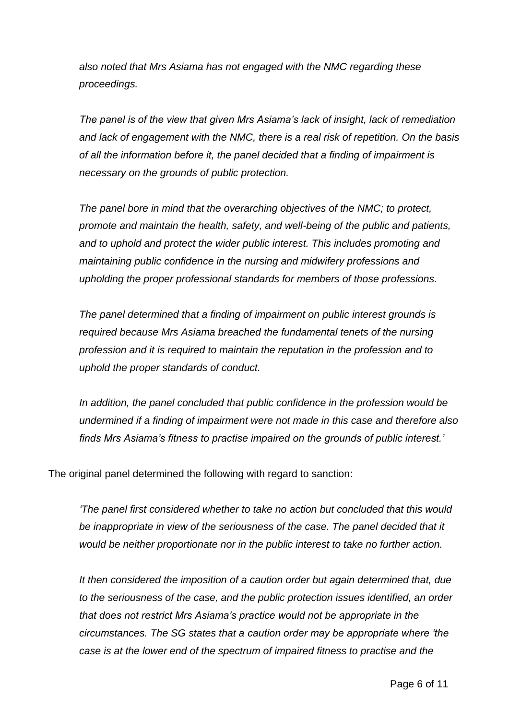*also noted that Mrs Asiama has not engaged with the NMC regarding these proceedings.* 

*The panel is of the view that given Mrs Asiama's lack of insight, lack of remediation and lack of engagement with the NMC, there is a real risk of repetition. On the basis of all the information before it, the panel decided that a finding of impairment is necessary on the grounds of public protection.* 

*The panel bore in mind that the overarching objectives of the NMC; to protect, promote and maintain the health, safety, and well-being of the public and patients, and to uphold and protect the wider public interest. This includes promoting and maintaining public confidence in the nursing and midwifery professions and upholding the proper professional standards for members of those professions.* 

*The panel determined that a finding of impairment on public interest grounds is required because Mrs Asiama breached the fundamental tenets of the nursing profession and it is required to maintain the reputation in the profession and to uphold the proper standards of conduct.* 

*In addition, the panel concluded that public confidence in the profession would be undermined if a finding of impairment were not made in this case and therefore also finds Mrs Asiama's fitness to practise impaired on the grounds of public interest.'*

The original panel determined the following with regard to sanction:

*'The panel first considered whether to take no action but concluded that this would*  be inappropriate in view of the seriousness of the case. The panel decided that it *would be neither proportionate nor in the public interest to take no further action.* 

*It then considered the imposition of a caution order but again determined that, due to the seriousness of the case, and the public protection issues identified, an order that does not restrict Mrs Asiama's practice would not be appropriate in the circumstances. The SG states that a caution order may be appropriate where 'the case is at the lower end of the spectrum of impaired fitness to practise and the*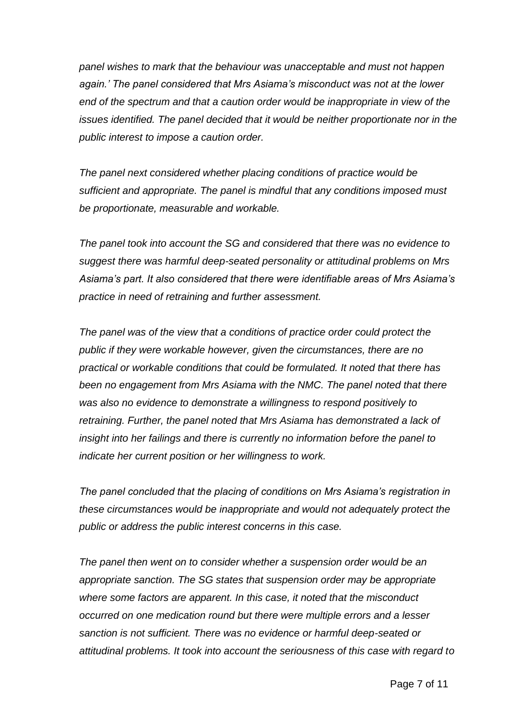*panel wishes to mark that the behaviour was unacceptable and must not happen again.' The panel considered that Mrs Asiama's misconduct was not at the lower end of the spectrum and that a caution order would be inappropriate in view of the issues identified. The panel decided that it would be neither proportionate nor in the public interest to impose a caution order.*

*The panel next considered whether placing conditions of practice would be sufficient and appropriate. The panel is mindful that any conditions imposed must be proportionate, measurable and workable.* 

*The panel took into account the SG and considered that there was no evidence to suggest there was harmful deep-seated personality or attitudinal problems on Mrs Asiama's part. It also considered that there were identifiable areas of Mrs Asiama's practice in need of retraining and further assessment.* 

*The panel was of the view that a conditions of practice order could protect the public if they were workable however, given the circumstances, there are no practical or workable conditions that could be formulated. It noted that there has been no engagement from Mrs Asiama with the NMC. The panel noted that there was also no evidence to demonstrate a willingness to respond positively to retraining. Further, the panel noted that Mrs Asiama has demonstrated a lack of insight into her failings and there is currently no information before the panel to indicate her current position or her willingness to work.* 

*The panel concluded that the placing of conditions on Mrs Asiama's registration in these circumstances would be inappropriate and would not adequately protect the public or address the public interest concerns in this case.* 

*The panel then went on to consider whether a suspension order would be an appropriate sanction. The SG states that suspension order may be appropriate where some factors are apparent. In this case, it noted that the misconduct occurred on one medication round but there were multiple errors and a lesser sanction is not sufficient. There was no evidence or harmful deep-seated or attitudinal problems. It took into account the seriousness of this case with regard to*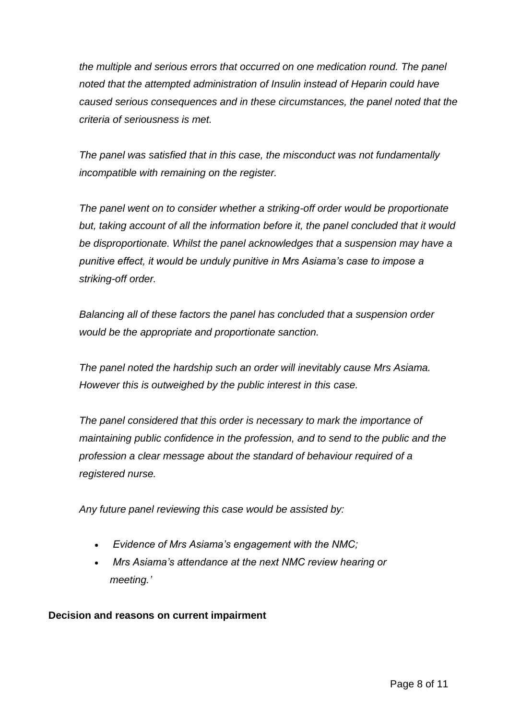*the multiple and serious errors that occurred on one medication round. The panel noted that the attempted administration of Insulin instead of Heparin could have caused serious consequences and in these circumstances, the panel noted that the criteria of seriousness is met.* 

*The panel was satisfied that in this case, the misconduct was not fundamentally incompatible with remaining on the register.* 

*The panel went on to consider whether a striking-off order would be proportionate but, taking account of all the information before it, the panel concluded that it would be disproportionate. Whilst the panel acknowledges that a suspension may have a punitive effect, it would be unduly punitive in Mrs Asiama's case to impose a striking-off order.*

*Balancing all of these factors the panel has concluded that a suspension order would be the appropriate and proportionate sanction.*

*The panel noted the hardship such an order will inevitably cause Mrs Asiama. However this is outweighed by the public interest in this case.*

*The panel considered that this order is necessary to mark the importance of maintaining public confidence in the profession, and to send to the public and the profession a clear message about the standard of behaviour required of a registered nurse.*

*Any future panel reviewing this case would be assisted by:*

- *Evidence of Mrs Asiama's engagement with the NMC;*
- *Mrs Asiama's attendance at the next NMC review hearing or meeting.'*

**Decision and reasons on current impairment**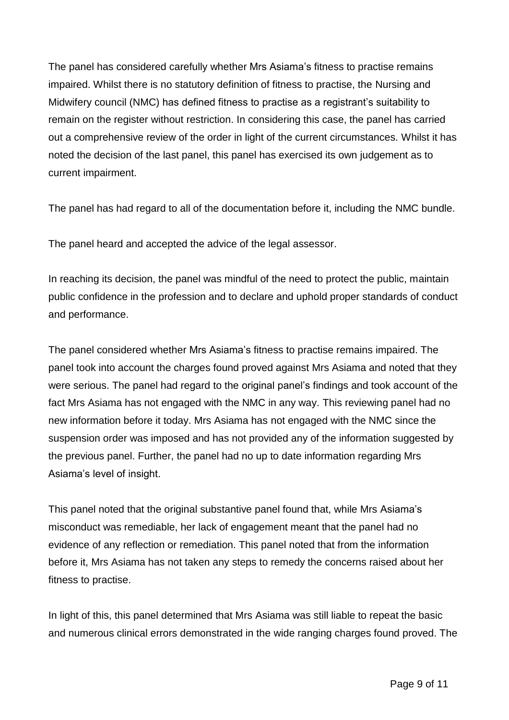The panel has considered carefully whether Mrs Asiama's fitness to practise remains impaired. Whilst there is no statutory definition of fitness to practise, the Nursing and Midwifery council (NMC) has defined fitness to practise as a registrant's suitability to remain on the register without restriction. In considering this case, the panel has carried out a comprehensive review of the order in light of the current circumstances. Whilst it has noted the decision of the last panel, this panel has exercised its own judgement as to current impairment.

The panel has had regard to all of the documentation before it, including the NMC bundle.

The panel heard and accepted the advice of the legal assessor.

In reaching its decision, the panel was mindful of the need to protect the public, maintain public confidence in the profession and to declare and uphold proper standards of conduct and performance.

The panel considered whether Mrs Asiama's fitness to practise remains impaired. The panel took into account the charges found proved against Mrs Asiama and noted that they were serious. The panel had regard to the original panel's findings and took account of the fact Mrs Asiama has not engaged with the NMC in any way. This reviewing panel had no new information before it today. Mrs Asiama has not engaged with the NMC since the suspension order was imposed and has not provided any of the information suggested by the previous panel. Further, the panel had no up to date information regarding Mrs Asiama's level of insight.

This panel noted that the original substantive panel found that, while Mrs Asiama's misconduct was remediable, her lack of engagement meant that the panel had no evidence of any reflection or remediation. This panel noted that from the information before it, Mrs Asiama has not taken any steps to remedy the concerns raised about her fitness to practise.

In light of this, this panel determined that Mrs Asiama was still liable to repeat the basic and numerous clinical errors demonstrated in the wide ranging charges found proved. The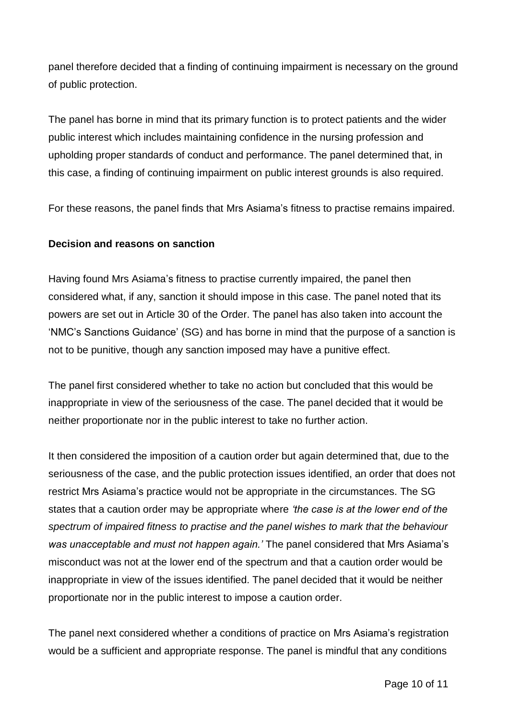panel therefore decided that a finding of continuing impairment is necessary on the ground of public protection.

The panel has borne in mind that its primary function is to protect patients and the wider public interest which includes maintaining confidence in the nursing profession and upholding proper standards of conduct and performance. The panel determined that, in this case, a finding of continuing impairment on public interest grounds is also required.

For these reasons, the panel finds that Mrs Asiama's fitness to practise remains impaired.

#### **Decision and reasons on sanction**

Having found Mrs Asiama's fitness to practise currently impaired, the panel then considered what, if any, sanction it should impose in this case. The panel noted that its powers are set out in Article 30 of the Order. The panel has also taken into account the 'NMC's Sanctions Guidance' (SG) and has borne in mind that the purpose of a sanction is not to be punitive, though any sanction imposed may have a punitive effect.

The panel first considered whether to take no action but concluded that this would be inappropriate in view of the seriousness of the case. The panel decided that it would be neither proportionate nor in the public interest to take no further action.

It then considered the imposition of a caution order but again determined that, due to the seriousness of the case, and the public protection issues identified, an order that does not restrict Mrs Asiama's practice would not be appropriate in the circumstances. The SG states that a caution order may be appropriate where *'the case is at the lower end of the spectrum of impaired fitness to practise and the panel wishes to mark that the behaviour was unacceptable and must not happen again.'* The panel considered that Mrs Asiama's misconduct was not at the lower end of the spectrum and that a caution order would be inappropriate in view of the issues identified. The panel decided that it would be neither proportionate nor in the public interest to impose a caution order.

The panel next considered whether a conditions of practice on Mrs Asiama's registration would be a sufficient and appropriate response. The panel is mindful that any conditions